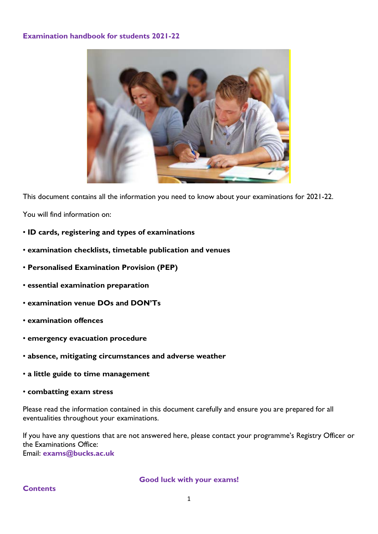### **Examination handbook for students 2021-22**



This document contains all the information you need to know about your examinations for 2021-22.

You will find information on:

- **ID cards, registering and types of examinations**
- **examination checklists, timetable publication and venues**
- **Personalised Examination Provision (PEP)**
- **essential examination preparation**
- **examination venue DOs and DON'Ts**
- **examination offences**
- **emergency evacuation procedure**
- **absence, mitigating circumstances and adverse weather**
- **a little guide to time management**
- **combatting exam stress**

Please read the information contained in this document carefully and ensure you are prepared for all eventualities throughout your examinations.

If you have any questions that are not answered here, please contact your programme's Registry Officer or the Examinations Office: Email: **exams@bucks.ac.uk**

**Good luck with your exams!**

**Contents**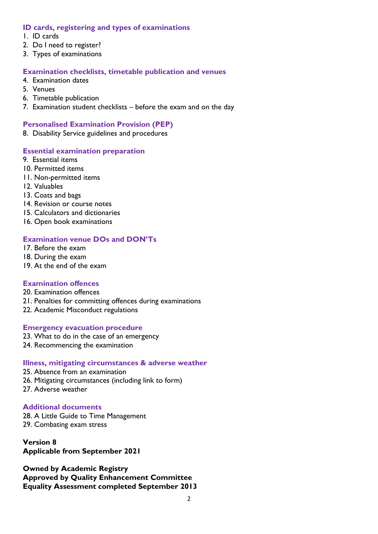### **ID cards, registering and types of examinations**

- 1. ID cards
- 2. Do I need to register?
- 3. Types of examinations

# **Examination checklists, timetable publication and venues**

- 4. Examination dates
- 5. Venues
- 6. Timetable publication
- 7. Examination student checklists before the exam and on the day

# **Personalised Examination Provision (PEP)**

8. Disability Service guidelines and procedures

# **Essential examination preparation**

- 9. Essential items
- 10. Permitted items
- 11. Non-permitted items
- 12. Valuables
- 13. Coats and bags
- 14. Revision or course notes
- 15. Calculators and dictionaries
- 16. Open book examinations

# **Examination venue DOs and DON'Ts**

- 17. Before the exam
- 18. During the exam
- 19. At the end of the exam

# **Examination offences**

- 20. Examination offences
- 21. Penalties for committing offences during examinations
- 22. Academic Misconduct regulations

# **Emergency evacuation procedure**

- 23. What to do in the case of an emergency
- 24. Recommencing the examination

#### **Illness, mitigating circumstances & adverse weather**

- 25. Absence from an examination
- 26. Mitigating circumstances (including link to form)
- 27. Adverse weather

# **Additional documents**

28. A Little Guide to Time Management 29. Combating exam stress

**Version 8 Applicable from September 2021**

**Owned by Academic Registry Approved by Quality Enhancement Committee Equality Assessment completed September 2013**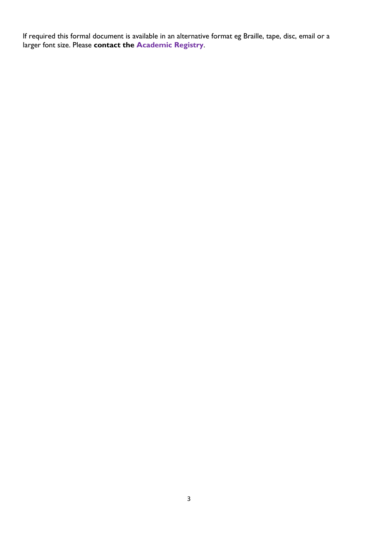If required this formal document is available in an alternative format eg Braille, tape, disc, email or a larger font size. Please **contact the Academic Registry**.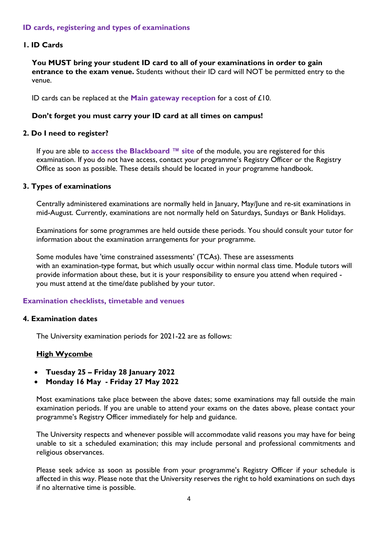## **ID cards, registering and types of examinations**

#### **1. ID Cards**

**You MUST bring your student ID card to all of your examinations in order to gain entrance to the exam venue.** Students without their ID card will NOT be permitted entry to the venue.

ID cards can be replaced at the **Main gateway reception** for a cost of £10.

#### **Don't forget you must carry your ID card at all times on campus!**

#### **2. Do I need to register?**

If you are able to **access the Blackboard ™ site** of the module, you are registered for this examination. If you do not have access, contact your programme's Registry Officer or the Registry Office as soon as possible. These details should be located in your programme handbook.

#### **3. Types of examinations**

Centrally administered examinations are normally held in January, May/June and re-sit examinations in mid-August. Currently, examinations are not normally held on Saturdays, Sundays or Bank Holidays.

Examinations for some programmes are held outside these periods. You should consult your tutor for information about the examination arrangements for your programme.

Some modules have 'time constrained assessments' (TCAs). These are assessments with an examination-type format, but which usually occur within normal class time. Module tutors will provide information about these, but it is your responsibility to ensure you attend when required you must attend at the time/date published by your tutor.

#### **Examination checklists, timetable and venues**

#### **4. Examination dates**

The University examination periods for 2021-22 are as follows:

# **High Wycombe**

- **Tuesday 25 – Friday 28 January 2022**
- **Monday 16 May - Friday 27 May 2022**

Most examinations take place between the above dates; some examinations may fall outside the main examination periods. If you are unable to attend your exams on the dates above, please contact your programme's Registry Officer immediately for help and guidance.

The University respects and whenever possible will accommodate valid reasons you may have for being unable to sit a scheduled examination; this may include personal and professional commitments and religious observances.

Please seek advice as soon as possible from your programme's Registry Officer if your schedule is affected in this way. Please note that the University reserves the right to hold examinations on such days if no alternative time is possible.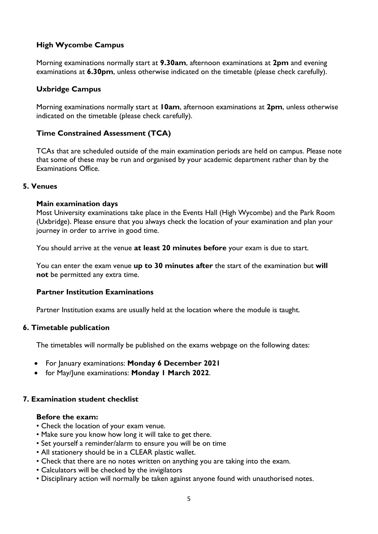# **High Wycombe Campus**

Morning examinations normally start at **9.30am**, afternoon examinations at **2pm** and evening examinations at **6.30pm**, unless otherwise indicated on the timetable (please check carefully).

### **Uxbridge Campus**

Morning examinations normally start at **10am**, afternoon examinations at **2pm**, unless otherwise indicated on the timetable (please check carefully).

### **Time Constrained Assessment (TCA)**

TCAs that are scheduled outside of the main examination periods are held on campus. Please note that some of these may be run and organised by your academic department rather than by the Examinations Office.

#### **5. Venues**

#### **Main examination days**

Most University examinations take place in the Events Hall (High Wycombe) and the Park Room (Uxbridge). Please ensure that you always check the location of your examination and plan your journey in order to arrive in good time.

You should arrive at the venue **at least 20 minutes before** your exam is due to start.

You can enter the exam venue **up to 30 minutes after** the start of the examination but **will not** be permitted any extra time.

#### **Partner Institution Examinations**

Partner Institution exams are usually held at the location where the module is taught.

#### **6. Timetable publication**

The timetables will normally be published on the exams webpage on the following dates:

- For January examinations: **Monday 6 December 2021**
- for May/June examinations: **Monday 1 March 2022**.

#### **7. Examination student checklist**

#### **Before the exam:**

- Check the location of your exam venue.
- Make sure you know how long it will take to get there.
- Set yourself a reminder/alarm to ensure you will be on time
- All stationery should be in a CLEAR plastic wallet.
- Check that there are no notes written on anything you are taking into the exam.
- Calculators will be checked by the invigilators
- Disciplinary action will normally be taken against anyone found with unauthorised notes.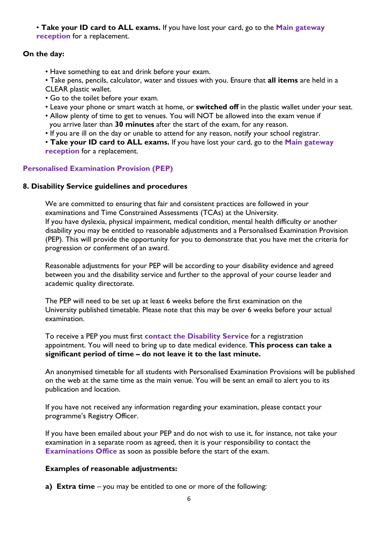• **Take your ID card to ALL exams.** If you have lost your card, go to the **Main gateway reception** for a replacement.

# **On the day:**

- Have something to eat and drink before your exam.
- Take pens, pencils, calculator, water and tissues with you. Ensure that **all items** are held in a CLEAR plastic wallet.
- Go to the toilet before your exam.
- Leave your phone or smart watch at home, or **switched off** in the plastic wallet under your seat.
- Allow plenty of time to get to venues. You will NOT be allowed into the exam venue if you arrive later than **30 minutes** after the start of the exam, for any reason.
- If you are ill on the day or unable to attend for any reason, notify your school registrar.
- **Take your ID card to ALL exams.** If you have lost your card, go to the **Main gateway reception** for a replacement.

# **Personalised Examination Provision (PEP)**

# **8. Disability Service guidelines and procedures**

We are committed to ensuring that fair and consistent practices are followed in your examinations and Time Constrained Assessments (TCAs) at the University. If you have dyslexia, physical impairment, medical condition, mental health difficulty or another disability you may be entitled to reasonable adjustments and a Personalised Examination Provision (PEP). This will provide the opportunity for you to demonstrate that you have met the criteria for progression or conferment of an award.

Reasonable adjustments for your PEP will be according to your disability evidence and agreed between you and the disability service and further to the approval of your course leader and academic quality directorate.

The PEP will need to be set up at least 6 weeks before the first examination on the University published timetable. Please note that this may be over 6 weeks before your actual examination.

To receive a PEP you must first **contact the Disability Service** for a registration appointment. You will need to bring up to date medical evidence. **This process can take a significant period of time – do not leave it to the last minute.** 

An anonymised timetable for all students with Personalised Examination Provisions will be published on the web at the same time as the main venue. You will be sent an email to alert you to its publication and location.

If you have not received any information regarding your examination, please contact your programme's Registry Officer.

If you have been emailed about your PEP and do not wish to use it, for instance, not take your examination in a separate room as agreed, then it is your responsibility to contact the **Examinations Office** as soon as possible before the start of the exam.

# **Examples of reasonable adjustments:**

**a) Extra time** – you may be entitled to one or more of the following: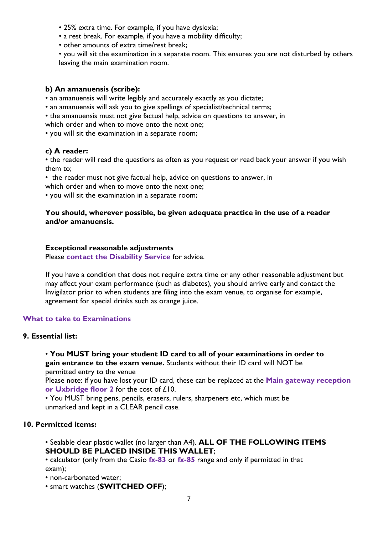- 25% extra time. For example, if you have dyslexia;
- a rest break. For example, if you have a mobility difficulty;
- other amounts of extra time/rest break;

• you will sit the examination in a separate room. This ensures you are not disturbed by others leaving the main examination room.

### **b) An amanuensis (scribe):**

• an amanuensis will write legibly and accurately exactly as you dictate;

- an amanuensis will ask you to give spellings of specialist/technical terms;
- the amanuensis must not give factual help, advice on questions to answer, in which order and when to move onto the next one;

• you will sit the examination in a separate room;

# **c) A reader:**

• the reader will read the questions as often as you request or read back your answer if you wish them to;

• the reader must not give factual help, advice on questions to answer, in

which order and when to move onto the next one;

• you will sit the examination in a separate room;

### **You should, wherever possible, be given adequate practice in the use of a reader and/or amanuensis.**

### **Exceptional reasonable adjustments**

Please **contact the Disability Service** for advice.

If you have a condition that does not require extra time or any other reasonable adjustment but may affect your exam performance (such as diabetes), you should arrive early and contact the Invigilator prior to when students are filing into the exam venue, to organise for example, agreement for special drinks such as orange juice.

# **What to take to Examinations**

# **9. Essential list:**

• **You MUST bring your student ID card to all of your examinations in order to gain entrance to the exam venue.** Students without their ID card will NOT be permitted entry to the venue

Please note: if you have lost your ID card, these can be replaced at the **Main gateway reception or Uxbridge floor 2** for the cost of £10.

• You MUST bring pens, pencils, erasers, rulers, sharpeners etc, which must be unmarked and kept in a CLEAR pencil case.

# **10. Permitted items:**

• Sealable clear plastic wallet (no larger than A4). **ALL OF THE FOLLOWING ITEMS SHOULD BE PLACED INSIDE THIS WALLET**;

• calculator (only from the Casio **fx-83** or **fx-85** range and only if permitted in that exam);

• non-carbonated water;

• smart watches (**SWITCHED OFF**);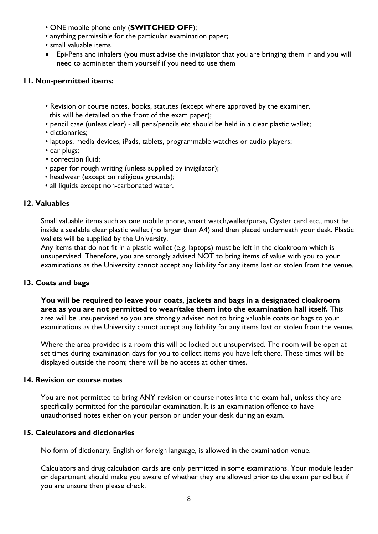- ONE mobile phone only (**SWITCHED OFF**);
- anything permissible for the particular examination paper;
- small valuable items.
- Epi-Pens and inhalers (you must advise the invigilator that you are bringing them in and you will need to administer them yourself if you need to use them

# **11. Non-permitted items:**

- Revision or course notes, books, statutes (except where approved by the examiner, this will be detailed on the front of the exam paper);
- pencil case (unless clear) all pens/pencils etc should be held in a clear plastic wallet;
- dictionaries;
- laptops, media devices, iPads, tablets, programmable watches or audio players;
- ear plugs;
- correction fluid;
- paper for rough writing (unless supplied by invigilator);
- headwear (except on religious grounds);
- all liquids except non-carbonated water.

### **12. Valuables**

Small valuable items such as one mobile phone, smart watch,wallet/purse, Oyster card etc., must be inside a sealable clear plastic wallet (no larger than A4) and then placed underneath your desk. Plastic wallets will be supplied by the University.

Any items that do not fit in a plastic wallet (e.g. laptops) must be left in the cloakroom which is unsupervised. Therefore, you are strongly advised NOT to bring items of value with you to your examinations as the University cannot accept any liability for any items lost or stolen from the venue.

# **13. Coats and bags**

**You will be required to leave your coats, jackets and bags in a designated cloakroom area as you are not permitted to wear/take them into the examination hall itself.** This area will be unsupervised so you are strongly advised not to bring valuable coats or bags to your examinations as the University cannot accept any liability for any items lost or stolen from the venue.

Where the area provided is a room this will be locked but unsupervised. The room will be open at set times during examination days for you to collect items you have left there. These times will be displayed outside the room; there will be no access at other times.

#### **14. Revision or course notes**

You are not permitted to bring ANY revision or course notes into the exam hall, unless they are specifically permitted for the particular examination. It is an examination offence to have unauthorised notes either on your person or under your desk during an exam.

# **15. Calculators and dictionaries**

No form of dictionary, English or foreign language, is allowed in the examination venue.

Calculators and drug calculation cards are only permitted in some examinations. Your module leader or department should make you aware of whether they are allowed prior to the exam period but if you are unsure then please check.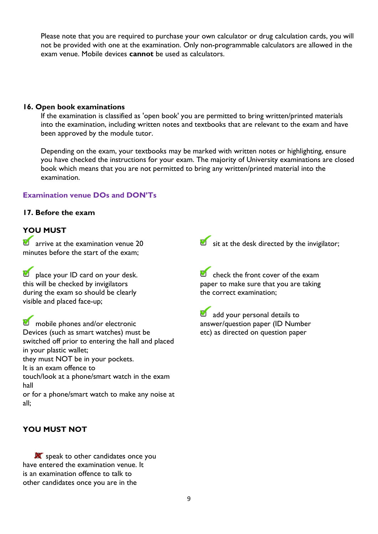Please note that you are required to purchase your own calculator or drug calculation cards, you will not be provided with one at the examination. Only non-programmable calculators are allowed in the exam venue. Mobile devices **cannot** be used as calculators.

#### **16. Open book examinations**

If the examination is classified as 'open book' you are permitted to bring written/printed materials into the examination, including written notes and textbooks that are relevant to the exam and have been approved by the module tutor.

Depending on the exam, your textbooks may be marked with written notes or highlighting, ensure you have checked the instructions for your exam. The majority of University examinations are closed book which means that you are not permitted to bring any written/printed material into the examination.

# **Examination venue DOs and DON'Ts**

# **17. Before the exam**

# **YOU MUST**

**arrive at the examination venue 20** minutes before the start of the exam;

**D** place your ID card on your desk. this will be checked by invigilators during the exam so should be clearly visible and placed face-up;

**M** mobile phones and/or electronic Devices (such as smart watches) must be switched off prior to entering the hall and placed in your plastic wallet; they must NOT be in your pockets. It is an exam offence to touch/look at a phone/smart watch in the exam hall or for a phone/smart watch to make any noise at all;

**YOU MUST NOT**

speak to other candidates once you have entered the examination venue. It is an examination offence to talk to other candidates once you are in the

 $\bullet$  sit at the desk directed by the invigilator;

 $\blacksquare$  check the front cover of the exam paper to make sure that you are taking the correct examination;

add your personal details to answer/question paper (ID Number etc) as directed on question paper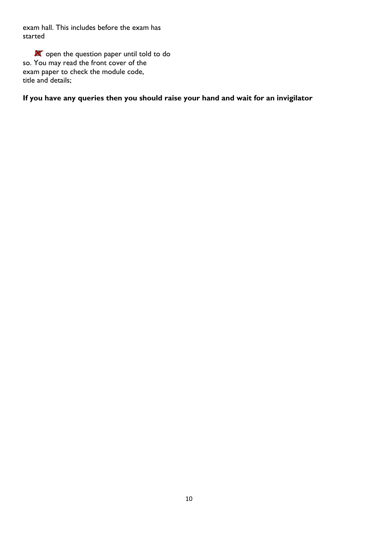exam hall. This includes before the exam has started

**X** open the question paper until told to do so. You may read the front cover of the exam paper to check the module code, title and details;

# **If you have any queries then you should raise your hand and wait for an invigilator**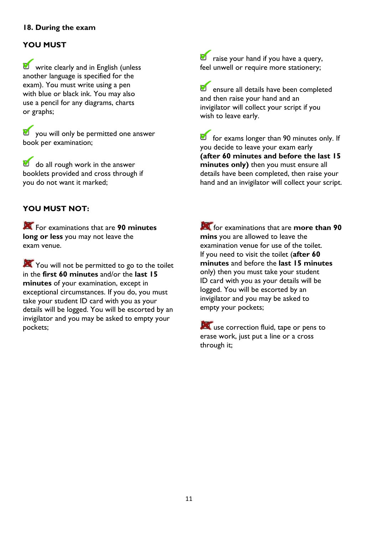# **18. During the exam**

# **YOU MUST**

**W** write clearly and in English (unless another language is specified for the exam). You must write using a pen with blue or black ink. You may also use a pencil for any diagrams, charts or graphs;

**V** you will only be permitted one answer book per examination;

do all rough work in the answer booklets provided and cross through if you do not want it marked;

# **YOU MUST NOT:**

For examinations that are **90 minutes long or less** you may not leave the exam venue.

You will not be permitted to go to the toilet in the **first 60 minutes** and/or the **last 15 minutes** of your examination, except in exceptional circumstances. If you do, you must take your student ID card with you as your details will be logged. You will be escorted by an invigilator and you may be asked to empty your pockets;

**D** raise your hand if you have a query, feel unwell or require more stationery;

**D** ensure all details have been completed and then raise your hand and an invigilator will collect your script if you wish to leave early.

**for exams longer than 90 minutes only.** If you decide to leave your exam early **(after 60 minutes and before the last 15 minutes only)** then you must ensure all details have been completed, then raise your hand and an invigilator will collect your script.

for examinations that are **more than 90 mins** you are allowed to leave the examination venue for use of the toilet. If you need to visit the toilet (**after 60 minutes** and before the **last 15 minutes** only) then you must take your student ID card with you as your details will be logged. You will be escorted by an invigilator and you may be asked to empty your pockets;

use correction fluid, tape or pens to erase work, just put a line or a cross through it;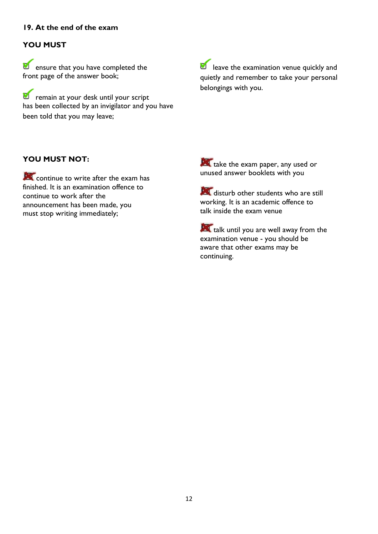# **19. At the end of the exam**

# **YOU MUST**

**D** ensure that you have completed the front page of the answer book;

*D* remain at your desk until your script has been collected by an invigilator and you have been told that you may leave;

**D** leave the examination venue quickly and quietly and remember to take your personal belongings with you.

# **YOU MUST NOT:**

continue to write after the exam has finished. It is an examination offence to continue to work after the announcement has been made, you must stop writing immediately;

take the exam paper, any used or unused answer booklets with you

disturb other students who are still working. It is an academic offence to talk inside the exam venue

talk until you are well away from the examination venue - you should be aware that other exams may be continuing.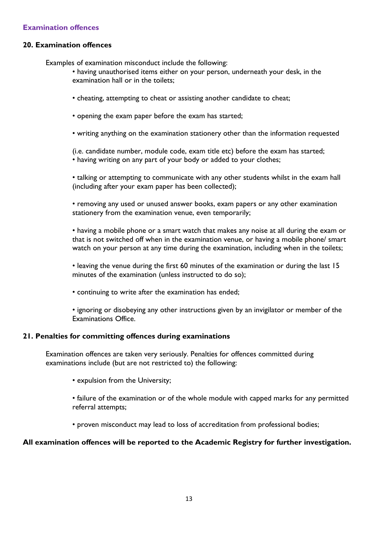# **Examination offences**

### **20. Examination offences**

Examples of examination misconduct include the following:

- having unauthorised items either on your person, underneath your desk, in the examination hall or in the toilets;
- cheating, attempting to cheat or assisting another candidate to cheat;
- opening the exam paper before the exam has started;
- writing anything on the examination stationery other than the information requested

(i.e. candidate number, module code, exam title etc) before the exam has started; • having writing on any part of your body or added to your clothes;

• talking or attempting to communicate with any other students whilst in the exam hall (including after your exam paper has been collected);

• removing any used or unused answer books, exam papers or any other examination stationery from the examination venue, even temporarily;

• having a mobile phone or a smart watch that makes any noise at all during the exam or that is not switched off when in the examination venue, or having a mobile phone/ smart watch on your person at any time during the examination, including when in the toilets;

• leaving the venue during the first 60 minutes of the examination or during the last 15 minutes of the examination (unless instructed to do so);

• continuing to write after the examination has ended;

• ignoring or disobeying any other instructions given by an invigilator or member of the Examinations Office.

#### **21. Penalties for committing offences during examinations**

Examination offences are taken very seriously. Penalties for offences committed during examinations include (but are not restricted to) the following:

- expulsion from the University;
- failure of the examination or of the whole module with capped marks for any permitted referral attempts;
- proven misconduct may lead to loss of accreditation from professional bodies;

#### **All examination offences will be reported to the Academic Registry for further investigation.**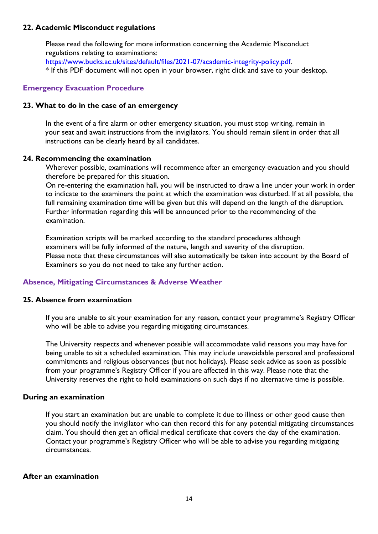### **22. Academic Misconduct regulations**

Please read the following for more information concerning the Academic Misconduct regulations relating to examinations: [https://www.bucks.ac.uk/sites/default/files/2021-07/academic-integrity-policy.pdf.](https://www.bucks.ac.uk/sites/default/files/2021-07/academic-integrity-policy.pdf)

\* If this PDF document will not open in your browser, right click and save to your desktop.

### **Emergency Evacuation Procedure**

#### **23. What to do in the case of an emergency**

In the event of a fire alarm or other emergency situation, you must stop writing, remain in your seat and await instructions from the invigilators. You should remain silent in order that all instructions can be clearly heard by all candidates.

#### **24. Recommencing the examination**

Wherever possible, examinations will recommence after an emergency evacuation and you should therefore be prepared for this situation.

On re-entering the examination hall, you will be instructed to draw a line under your work in order to indicate to the examiners the point at which the examination was disturbed. If at all possible, the full remaining examination time will be given but this will depend on the length of the disruption. Further information regarding this will be announced prior to the recommencing of the examination.

Examination scripts will be marked according to the standard procedures although examiners will be fully informed of the nature, length and severity of the disruption. Please note that these circumstances will also automatically be taken into account by the Board of Examiners so you do not need to take any further action.

#### **Absence, Mitigating Circumstances & Adverse Weather**

#### **25. Absence from examination**

If you are unable to sit your examination for any reason, contact your programme's Registry Officer who will be able to advise you regarding mitigating circumstances.

The University respects and whenever possible will accommodate valid reasons you may have for being unable to sit a scheduled examination. This may include unavoidable personal and professional commitments and religious observances (but not holidays). Please seek advice as soon as possible from your programme's Registry Officer if you are affected in this way. Please note that the University reserves the right to hold examinations on such days if no alternative time is possible.

#### **During an examination**

If you start an examination but are unable to complete it due to illness or other good cause then you should notify the invigilator who can then record this for any potential mitigating circumstances claim. You should then get an official medical certificate that covers the day of the examination. Contact your programme's Registry Officer who will be able to advise you regarding mitigating circumstances.

### **After an examination**